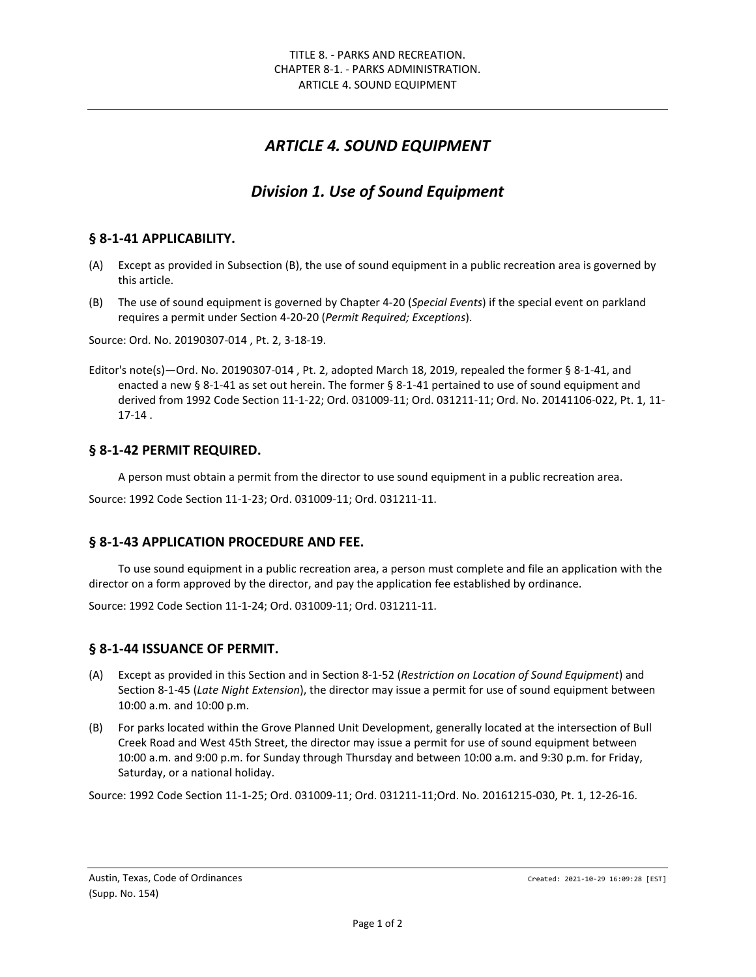# *ARTICLE 4. SOUND EQUIPMENT*

# *Division 1. Use of Sound Equipment*

### **§ 8-1-41 APPLICABILITY.**

- (A) Except as provided in Subsection (B), the use of sound equipment in a public recreation area is governed by this article.
- (B) The use of sound equipment is governed by Chapter 4-20 (*Special Events*) if the special event on parkland requires a permit under Section 4-20-20 (*Permit Required; Exceptions*).

Source: Ord. No. 20190307-014 , Pt. 2, 3-18-19.

Editor's note(s)—Ord. No. 20190307-014 , Pt. 2, adopted March 18, 2019, repealed the former § 8-1-41, and enacted a new § 8-1-41 as set out herein. The former § 8-1-41 pertained to use of sound equipment and derived from 1992 Code Section 11-1-22; Ord. 031009-11; Ord. 031211-11; Ord. No. 20141106-022, Pt. 1, 11- 17-14 .

#### **§ 8-1-42 PERMIT REQUIRED.**

A person must obtain a permit from the director to use sound equipment in a public recreation area.

Source: 1992 Code Section 11-1-23; Ord. 031009-11; Ord. 031211-11.

### **§ 8-1-43 APPLICATION PROCEDURE AND FEE.**

To use sound equipment in a public recreation area, a person must complete and file an application with the director on a form approved by the director, and pay the application fee established by ordinance.

Source: 1992 Code Section 11-1-24; Ord. 031009-11; Ord. 031211-11.

#### **§ 8-1-44 ISSUANCE OF PERMIT.**

- (A) Except as provided in this Section and in Section 8-1-52 (*Restriction on Location of Sound Equipment*) and Section 8-1-45 (*Late Night Extension*), the director may issue a permit for use of sound equipment between 10:00 a.m. and 10:00 p.m.
- (B) For parks located within the Grove Planned Unit Development, generally located at the intersection of Bull Creek Road and West 45th Street, the director may issue a permit for use of sound equipment between 10:00 a.m. and 9:00 p.m. for Sunday through Thursday and between 10:00 a.m. and 9:30 p.m. for Friday, Saturday, or a national holiday.

Source: 1992 Code Section 11-1-25; Ord. 031009-11; Ord. 031211-11;Ord. No. 20161215-030, Pt. 1, 12-26-16.